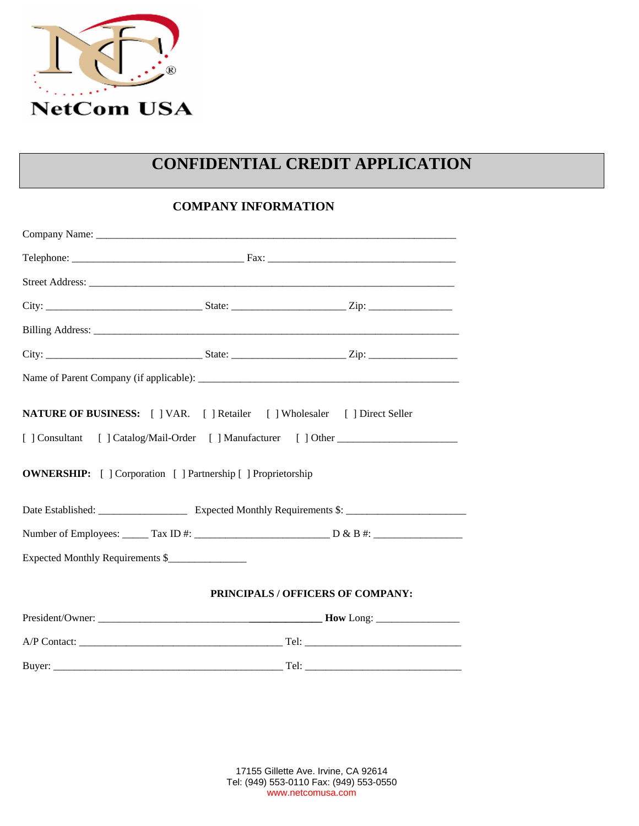

## **CONFIDENTIAL CREDIT APPLICATION**

## **COMPANY INFORMATION**

| NATURE OF BUSINESS: [ ] VAR. [ ] Retailer [ ] Wholesaler [ ] Direct Seller       |                                   |  |
|----------------------------------------------------------------------------------|-----------------------------------|--|
| [] Consultant [] Catalog/Mail-Order [] Manufacturer [] Other ___________________ |                                   |  |
| <b>OWNERSHIP:</b> [ ] Corporation [ ] Partnership [ ] Proprietorship             |                                   |  |
|                                                                                  |                                   |  |
|                                                                                  |                                   |  |
| Expected Monthly Requirements \$                                                 |                                   |  |
|                                                                                  | PRINCIPALS / OFFICERS OF COMPANY: |  |
|                                                                                  |                                   |  |
|                                                                                  |                                   |  |
|                                                                                  |                                   |  |